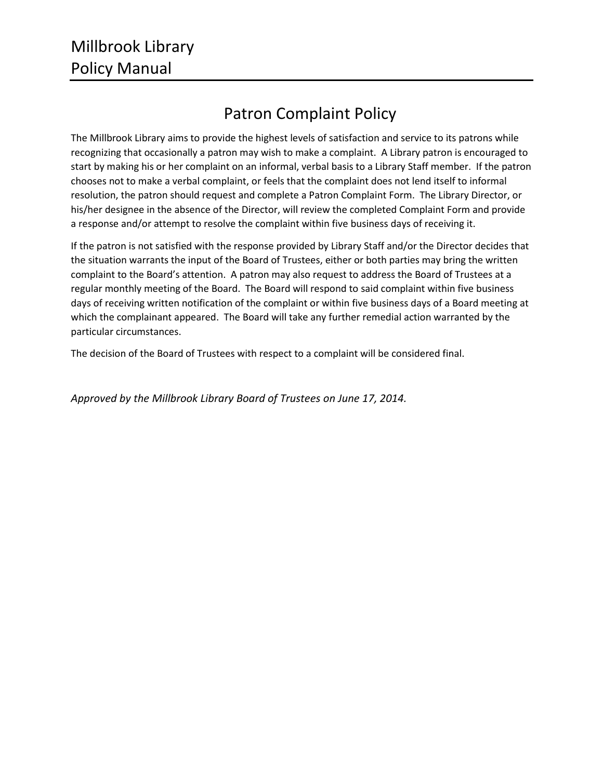## Patron Complaint Policy

The Millbrook Library aims to provide the highest levels of satisfaction and service to its patrons while recognizing that occasionally a patron may wish to make a complaint. A Library patron is encouraged to start by making his or her complaint on an informal, verbal basis to a Library Staff member. If the patron chooses not to make a verbal complaint, or feels that the complaint does not lend itself to informal resolution, the patron should request and complete a Patron Complaint Form. The Library Director, or his/her designee in the absence of the Director, will review the completed Complaint Form and provide a response and/or attempt to resolve the complaint within five business days of receiving it.

If the patron is not satisfied with the response provided by Library Staff and/or the Director decides that the situation warrants the input of the Board of Trustees, either or both parties may bring the written complaint to the Board's attention. A patron may also request to address the Board of Trustees at a regular monthly meeting of the Board. The Board will respond to said complaint within five business days of receiving written notification of the complaint or within five business days of a Board meeting at which the complainant appeared. The Board will take any further remedial action warranted by the particular circumstances.

The decision of the Board of Trustees with respect to a complaint will be considered final.

*Approved by the Millbrook Library Board of Trustees on June 17, 2014.*